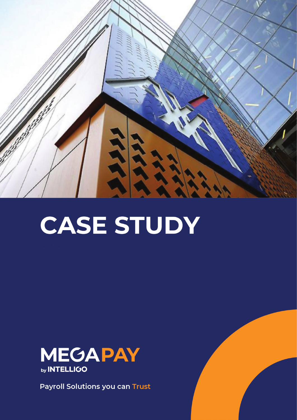

# **CASE STUDY**



**Payroll Solutions you can Trust**